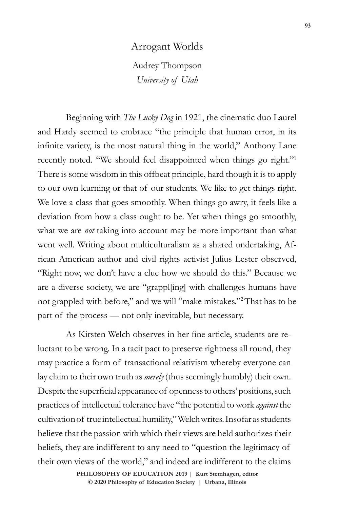## Arrogant Worlds

Audrey Thompson *University of Utah*

Beginning with *The Lucky Dog* in 1921, the cinematic duo Laurel and Hardy seemed to embrace "the principle that human error, in its infinite variety, is the most natural thing in the world," Anthony Lane recently noted. "We should feel disappointed when things go right."<sup>1</sup> There is some wisdom in this offbeat principle, hard though it is to apply to our own learning or that of our students. We like to get things right. We love a class that goes smoothly. When things go awry, it feels like a deviation from how a class ought to be. Yet when things go smoothly, what we are *not* taking into account may be more important than what went well. Writing about multiculturalism as a shared undertaking, African American author and civil rights activist Julius Lester observed, "Right now, we don't have a clue how we should do this." Because we are a diverse society, we are "grappl[ing] with challenges humans have not grappled with before," and we will "make mistakes."2That has to be part of the process — not only inevitable, but necessary.

As Kirsten Welch observes in her fine article, students are reluctant to be wrong. In a tacit pact to preserve rightness all round, they may practice a form of transactional relativism whereby everyone can lay claim to their own truth as *merely* (thus seemingly humbly) their own. Despite the superficial appearance of openness to others' positions, such practices of intellectual tolerance have "the potential to work *against* the cultivation of true intellectual humility," Welch writes. Insofar as students believe that the passion with which their views are held authorizes their beliefs, they are indifferent to any need to "question the legitimacy of their own views of the world," and indeed are indifferent to the claims

> **doi 10.47925/75.2019.093 © 2020 Philosophy of Education Society | Urbana, IllinoisPHILOSOPHY OF EDUCATION 2019 | Kurt Stemhagen, editor**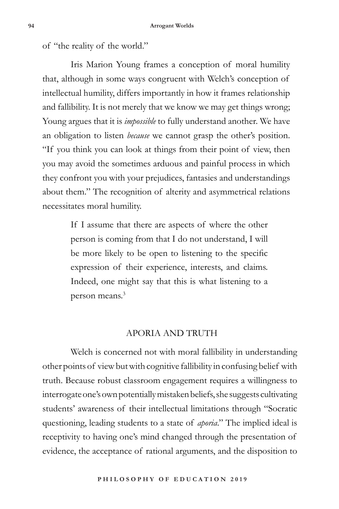of "the reality of the world."

Iris Marion Young frames a conception of moral humility that, although in some ways congruent with Welch's conception of intellectual humility, differs importantly in how it frames relationship and fallibility. It is not merely that we know we may get things wrong; Young argues that it is *impossible* to fully understand another. We have an obligation to listen *because* we cannot grasp the other's position. "If you think you can look at things from their point of view, then you may avoid the sometimes arduous and painful process in which they confront you with your prejudices, fantasies and understandings about them." The recognition of alterity and asymmetrical relations necessitates moral humility.

> If I assume that there are aspects of where the other person is coming from that I do not understand, I will be more likely to be open to listening to the specific expression of their experience, interests, and claims. Indeed, one might say that this is what listening to a person means.<sup>3</sup>

## APORIA AND TRUTH

Welch is concerned not with moral fallibility in understanding other points of view but with cognitive fallibility in confusing belief with truth. Because robust classroom engagement requires a willingness to interrogate one's own potentially mistaken beliefs, she suggests cultivating students' awareness of their intellectual limitations through "Socratic questioning, leading students to a state of *aporia*." The implied ideal is receptivity to having one's mind changed through the presentation of evidence, the acceptance of rational arguments, and the disposition to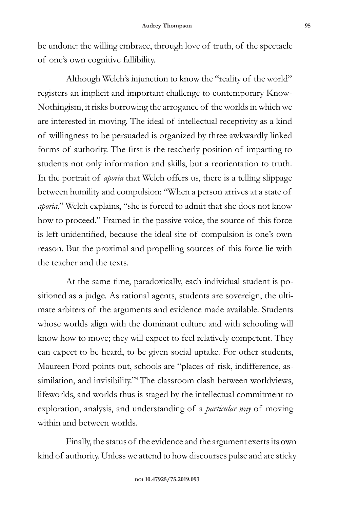be undone: the willing embrace, through love of truth, of the spectacle of one's own cognitive fallibility.

Although Welch's injunction to know the "reality of the world" registers an implicit and important challenge to contemporary Know-Nothingism, it risks borrowing the arrogance of the worlds in which we are interested in moving. The ideal of intellectual receptivity as a kind of willingness to be persuaded is organized by three awkwardly linked forms of authority. The first is the teacherly position of imparting to students not only information and skills, but a reorientation to truth. In the portrait of *aporia* that Welch offers us, there is a telling slippage between humility and compulsion: "When a person arrives at a state of *aporia*," Welch explains, "she is forced to admit that she does not know how to proceed." Framed in the passive voice, the source of this force is left unidentified, because the ideal site of compulsion is one's own reason. But the proximal and propelling sources of this force lie with the teacher and the texts.

At the same time, paradoxically, each individual student is positioned as a judge. As rational agents, students are sovereign, the ultimate arbiters of the arguments and evidence made available. Students whose worlds align with the dominant culture and with schooling will know how to move; they will expect to feel relatively competent. They can expect to be heard, to be given social uptake. For other students, Maureen Ford points out, schools are "places of risk, indifference, assimilation, and invisibility."<sup>4</sup> The classroom clash between worldviews, lifeworlds, and worlds thus is staged by the intellectual commitment to exploration, analysis, and understanding of a *particular way* of moving within and between worlds.

Finally, the status of the evidence and the argument exerts its own kind of authority. Unless we attend to how discourses pulse and are sticky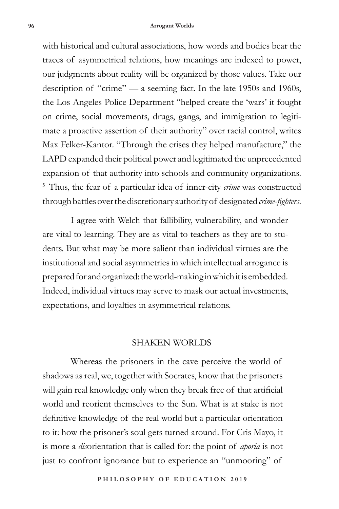## **96 Arrogant Worlds**

with historical and cultural associations, how words and bodies bear the traces of asymmetrical relations, how meanings are indexed to power, our judgments about reality will be organized by those values. Take our description of "crime" — a seeming fact. In the late 1950s and 1960s, the Los Angeles Police Department "helped create the 'wars' it fought on crime, social movements, drugs, gangs, and immigration to legitimate a proactive assertion of their authority" over racial control, writes Max Felker-Kantor. "Through the crises they helped manufacture," the LAPD expanded their political power and legitimated the unprecedented expansion of that authority into schools and community organizations. <sup>5</sup> Thus, the fear of a particular idea of inner-city *crime* was constructed through battles over the discretionary authority of designated *crime-fighters*.

I agree with Welch that fallibility, vulnerability, and wonder are vital to learning. They are as vital to teachers as they are to students. But what may be more salient than individual virtues are the institutional and social asymmetries in which intellectual arrogance is prepared for and organized: the world-making in which it is embedded. Indeed, individual virtues may serve to mask our actual investments, expectations, and loyalties in asymmetrical relations.

## SHAKEN WORLDS

Whereas the prisoners in the cave perceive the world of shadows as real, we, together with Socrates, know that the prisoners will gain real knowledge only when they break free of that artificial world and reorient themselves to the Sun. What is at stake is not definitive knowledge of the real world but a particular orientation to it: how the prisoner's soul gets turned around. For Cris Mayo, it is more a *dis*orientation that is called for: the point of *aporia* is not just to confront ignorance but to experience an "unmooring" of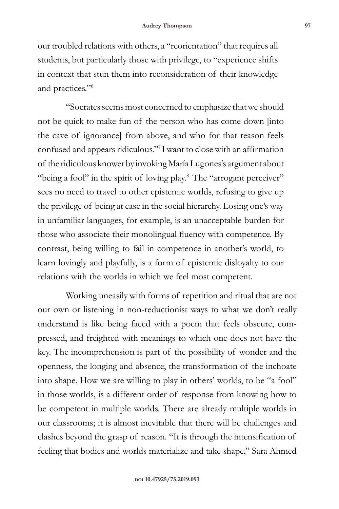our troubled relations with others, a "reorientation" that requires all students, but particularly those with privilege, to "experience shifts in context that stun them into reconsideration of their knowledge and practices."6

"Socrates seems most concerned to emphasize that we should not be quick to make fun of the person who has come down [into the cave of ignorance] from above, and who for that reason feels confused and appears ridiculous."<sup>7</sup> I want to close with an affirmation of the ridiculous knower by invoking María Lugones's argument about "being a fool" in the spirit of loving play.<sup>8</sup> The "arrogant perceiver" sees no need to travel to other epistemic worlds, refusing to give up the privilege of being at ease in the social hierarchy. Losing one's way in unfamiliar languages, for example, is an unacceptable burden for those who associate their monolingual fluency with competence. By contrast, being willing to fail in competence in another's world, to learn lovingly and playfully, is a form of epistemic disloyalty to our relations with the worlds in which we feel most competent.

Working uneasily with forms of repetition and ritual that are not our own or listening in non-reductionist ways to what we don't really understand is like being faced with a poem that feels obscure, compressed, and freighted with meanings to which one does not have the key. The incomprehension is part of the possibility of wonder and the openness, the longing and absence, the transformation of the inchoate into shape. How we are willing to play in others' worlds, to be "a fool" in those worlds, is a different order of response from knowing how to be competent in multiple worlds. There are already multiple worlds in our classrooms; it is almost inevitable that there will be challenges and clashes beyond the grasp of reason. "It is through the intensification of feeling that bodies and worlds materialize and take shape," Sara Ahmed